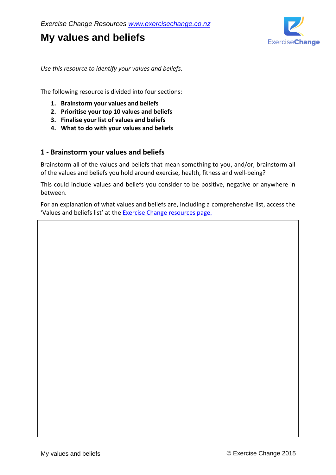# **My values and beliefs**



*Use this resource to identify your values and beliefs.*

The following resource is divided into four sections:

- **1. Brainstorm your values and beliefs**
- **2. Prioritise your top 10 values and beliefs**
- **3. Finalise your list of values and beliefs**
- **4. What to do with your values and beliefs**

## **1 - Brainstorm your values and beliefs**

Brainstorm all of the values and beliefs that mean something to you, and/or, brainstorm all of the values and beliefs you hold around exercise, health, fitness and well-being?

This could include values and beliefs you consider to be positive, negative or anywhere in between.

For an explanation of what values and beliefs are, including a comprehensive list, access the 'Values and beliefs list' at the [Exercise Change resources page.](http://www.exercisechange.co.nz/resources.html)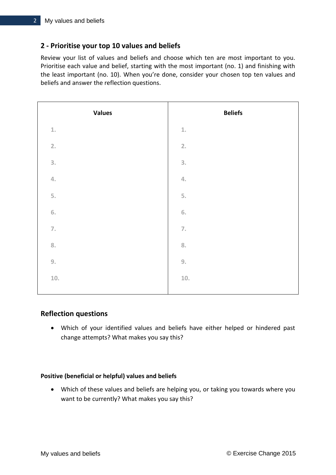# **2 - Prioritise your top 10 values and beliefs**

Review your list of values and beliefs and choose which ten are most important to you. Prioritise each value and belief, starting with the most important (no. 1) and finishing with the least important (no. 10). When you're done, consider your chosen top ten values and beliefs and answer the reflection questions.

| <b>Values</b>    | <b>Beliefs</b>   |
|------------------|------------------|
| $\underline{1},$ | $\underline{1}.$ |
| 2.               | 2.               |
| 3.               | 3.               |
| $\overline{4}$   | $\overline{4}$   |
| $\overline{5}$ . | 5.               |
| 6.               | 6.               |
| $\overline{7}$ . | $\overline{7}$ . |
| 8.               | 8.               |
| 9.               | 9.               |
| $10.$            | $10.$            |
|                  |                  |

## **Reflection questions**

 Which of your identified values and beliefs have either helped or hindered past change attempts? What makes you say this?

### **Positive (beneficial or helpful) values and beliefs**

 Which of these values and beliefs are helping you, or taking you towards where you want to be currently? What makes you say this?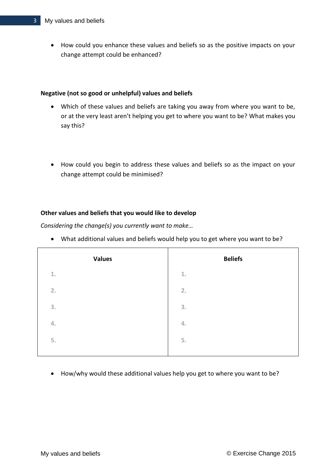How could you enhance these values and beliefs so as the positive impacts on your change attempt could be enhanced?

## **Negative (not so good or unhelpful) values and beliefs**

- Which of these values and beliefs are taking you away from where you want to be, or at the very least aren't helping you get to where you want to be? What makes you say this?
- How could you begin to address these values and beliefs so as the impact on your change attempt could be minimised?

## **Other values and beliefs that you would like to develop**

*Considering the change(s) you currently want to make…*

What additional values and beliefs would help you to get where you want to be?

| <b>Values</b> | <b>Beliefs</b>   |
|---------------|------------------|
| $1.$          | $\underline{1}.$ |
| 2.            | 2.               |
| 3.            | 3.               |
| 4.            | 4.               |
| 5.            | 5.               |
|               |                  |

How/why would these additional values help you get to where you want to be?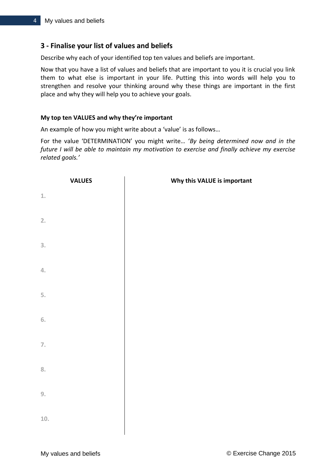# **3 - Finalise your list of values and beliefs**

Describe why each of your identified top ten values and beliefs are important.

Now that you have a list of values and beliefs that are important to you it is crucial you link them to what else is important in your life. Putting this into words will help you to strengthen and resolve your thinking around why these things are important in the first place and why they will help you to achieve your goals.

### **My top ten VALUES and why they're important**

An example of how you might write about a 'value' is as follows…

For the value 'DETERMINATION' you might write… '*By being determined now and in the future I will be able to maintain my motivation to exercise and finally achieve my exercise related goals.'*

| <b>VALUES</b>             | Why this VALUE is important |
|---------------------------|-----------------------------|
| $\underline{1}.$          |                             |
| 2.                        |                             |
| $\overline{3}$ .          |                             |
| $\mathcal{A}.$            |                             |
| 5.                        |                             |
| 6.                        |                             |
| $\overline{\mathbb{Z}}$ . |                             |
| 8.                        |                             |
| 9.                        |                             |
| 10.                       |                             |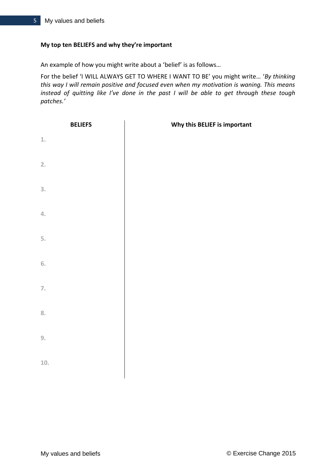## **My top ten BELIEFS and why they're important**

An example of how you might write about a 'belief' is as follows…

For the belief 'I WILL ALWAYS GET TO WHERE I WANT TO BE' you might write… '*By thinking this way I will remain positive and focused even when my motivation is waning. This means instead of quitting like I've done in the past I will be able to get through these tough patches.'*

| <b>BELIEFS</b>   | Why this BELIEF is important |
|------------------|------------------------------|
| $\underline{1}.$ |                              |
| 2.               |                              |
| 3.               |                              |
| $\mathcal{A}.$   |                              |
| 5.               |                              |
| $6.$             |                              |
| $\mathbb Z.$     |                              |
| 8.               |                              |
| 9.               |                              |
| $10.$            |                              |